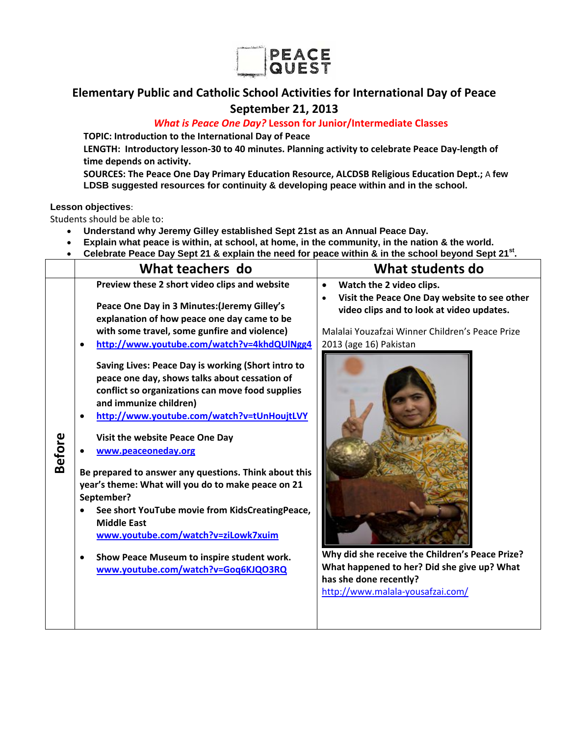

## **Elementary Public and Catholic School Activities for International Day of Peace September 21, 2013**

### *What is Peace One Day?* **Lesson for Junior/Intermediate Classes**

**TOPIC: Introduction to the International Day of Peace**

**LENGTH: Introductory lesson‐30 to 40 minutes. Planning activity to celebrate Peace Day‐length of time depends on activity.**

**SOURCES: The Peace One Day Primary Education Resource, ALCDSB Religious Education Dept.;** A **few LDSB suggested resources for continuity & developing peace within and in the school.** 

#### **Lesson objectives**:

Students should be able to:

- **Understand why Jeremy Gilley established Sept 21st as an Annual Peace Day.**
- **Explain what peace is within, at school, at home, in the community, in the nation & the world.**
- **Celebrate Peace Day Sept 21 & explain the need for peace within & in the school beyond Sept 21st.**

| Preview these 2 short video clips and website<br>Watch the 2 video clips.<br>$\bullet$<br>Visit the Peace One Day website to see other<br>Peace One Day in 3 Minutes: (Jeremy Gilley's<br>video clips and to look at video updates.<br>explanation of how peace one day came to be<br>with some travel, some gunfire and violence)<br>Malalai Youzafzai Winner Children's Peace Prize<br>http://www.youtube.com/watch?v=4khdQUlNgg4<br>2013 (age 16) Pakistan<br>$\bullet$<br>Saving Lives: Peace Day is working (Short intro to<br>peace one day, shows talks about cessation of<br>conflict so organizations can move food supplies<br>and immunize children)<br>http://www.youtube.com/watch?v=tUnHoujtLVY<br><b>Before</b><br>Visit the website Peace One Day<br>www.peaceoneday.org<br>Be prepared to answer any questions. Think about this<br>year's theme: What will you do to make peace on 21<br>September?<br>See short YouTube movie from KidsCreatingPeace,<br><b>Middle East</b><br>www.youtube.com/watch?v=ziLowk7xuim<br>Why did she receive the Children's Peace Prize?<br>Show Peace Museum to inspire student work.<br>What happened to her? Did she give up? What<br>www.youtube.com/watch?v=Goq6KJQO3RQ<br>has she done recently?<br>http://www.malala-yousafzai.com/ |
|--------------------------------------------------------------------------------------------------------------------------------------------------------------------------------------------------------------------------------------------------------------------------------------------------------------------------------------------------------------------------------------------------------------------------------------------------------------------------------------------------------------------------------------------------------------------------------------------------------------------------------------------------------------------------------------------------------------------------------------------------------------------------------------------------------------------------------------------------------------------------------------------------------------------------------------------------------------------------------------------------------------------------------------------------------------------------------------------------------------------------------------------------------------------------------------------------------------------------------------------------------------------------------------------|
|                                                                                                                                                                                                                                                                                                                                                                                                                                                                                                                                                                                                                                                                                                                                                                                                                                                                                                                                                                                                                                                                                                                                                                                                                                                                                            |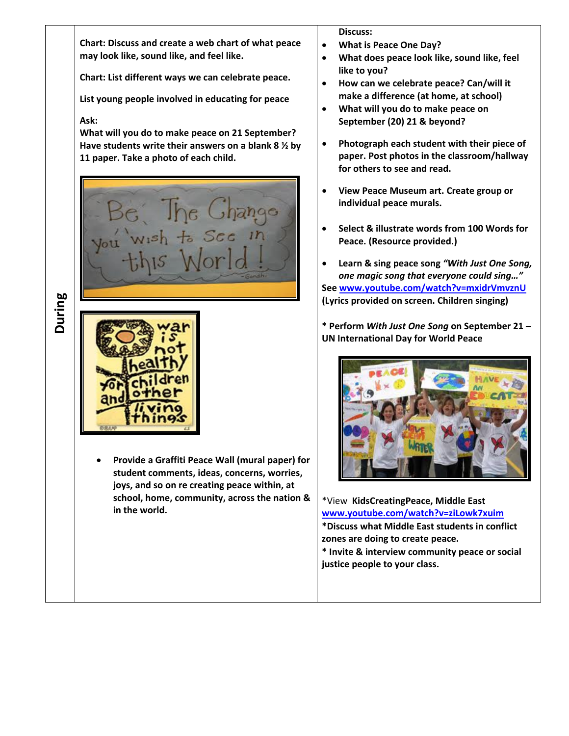**Chart: Discuss and create a web chart of what peace may look like, sound like, and feel like.**

**Chart: List different ways we can celebrate peace.**

**List young people involved in educating for peace**

#### **Ask:**

**What will you do to make peace on 21 September? Have students write their answers on a blank 8 ½ by 11 paper. Take a photo of each child.** 



**During**



 **Provide a Graffiti Peace Wall (mural paper) for student comments, ideas, concerns, worries, joys, and so on re creating peace within, at school, home, community, across the nation & in the world.** 

**Discuss:**

- **What is Peace One Day?**
- **What does peace look like, sound like, feel like to you?**
- **How can we celebrate peace? Can/will it make a difference (at home, at school)**
- **What will you do to make peace on September (20) 21 & beyond?**
- **Photograph each student with their piece of paper. Post photos in the classroom/hallway for others to see and read.**
- **View Peace Museum art. Create group or individual peace murals.**
- **Select & illustrate words from 100 Words for Peace. (Resource provided.)**
- **Learn & sing peace song** *"With Just One Song, one magic song that everyone could sing…"* **See www.youtube.com/watch?v=mxidrVmvznU (Lyrics provided on screen. Children singing)**

**\* Perform** *With Just One Song* **on September 21 – UN International Day for World Peace**



\*View **KidsCreatingPeace, Middle East www.youtube.com/watch?v=ziLowk7xuim \*Discuss what Middle East students in conflict zones are doing to create peace. \* Invite & interview community peace or social**

**justice people to your class.**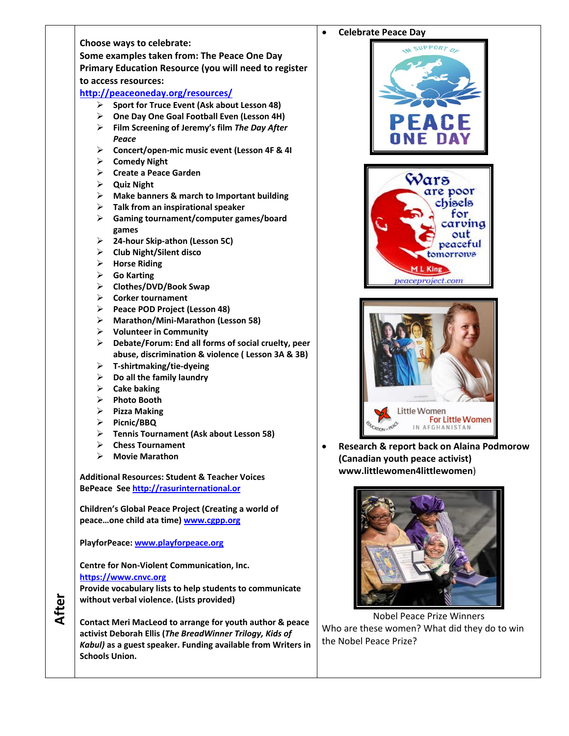

# **Celebrate Peace Day** Wars are poor chisels for carving out peaceful tomorrows M L King peaceproject.com Little Women **For Little Women** 1N AFGHANISTAN

 **Research & report back on Alaina Podmorow (Canadian youth peace activist) www.littlewomen4littlewomen**)



Nobel Peace Prize Winners Who are these women? What did they do to win the Nobel Peace Prize?